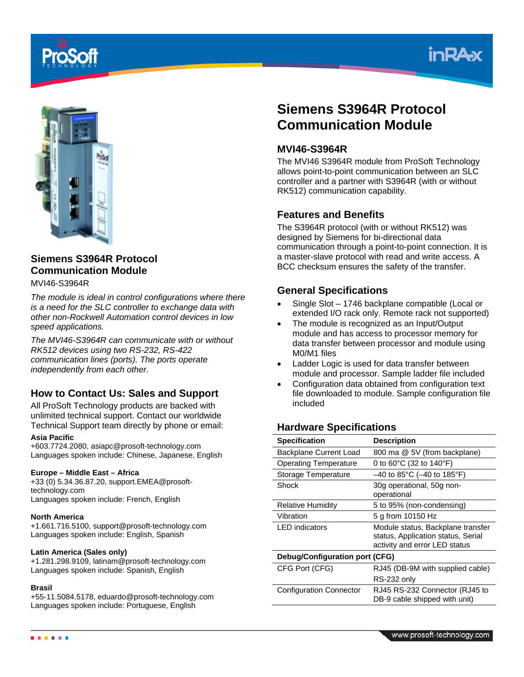





# **Siemens S3964R Protocol Communication Module**

MVI46-S3964R

*The module is ideal in control configurations where there is a need for the SLC controller to exchange data with other non-Rockwell Automation control devices in low speed applications.* 

*The MVI46-S3964R can communicate with or without RK512 devices using two RS-232, RS-422 communication lines (ports). The ports operate independently from each other.*

# **How to Contact Us: Sales and Support**

All ProSoft Technology products are backed with unlimited technical support. Contact our worldwide Technical Support team directly by phone or email:

### **Asia Pacific**

+603.7724.2080, asiapc@prosoft-technology.com Languages spoken include: Chinese, Japanese, English

### **Europe – Middle East – Africa**

+33 (0) 5.34.36.87.20, support.EMEA@prosofttechnology.com Languages spoken include: French, English

#### **North America**

+1.661.716.5100, support@prosoft-technology.com Languages spoken include: English, Spanish

### **Latin America (Sales only)**

+1.281.298.9109, latinam@prosoft-technology.com Languages spoken include: Spanish, English

#### **Brasil**

+55-11.5084.5178, eduardo@prosoft-technology.com Languages spoken include: Portuguese, English

# **Siemens S3964R Protocol Communication Module**

## **MVI46-S3964R**

The MVI46 S3964R module from ProSoft Technology allows point-to-point communication between an SLC controller and a partner with S3964R (with or without RK512) communication capability.

## **Features and Benefits**

The S3964R protocol (with or without RK512) was designed by Siemens for bi-directional data communication through a point-to-point connection. It is a master-slave protocol with read and write access. A BCC checksum ensures the safety of the transfer.

## **General Specifications**

- Single Slot 1746 backplane compatible (Local or extended I/O rack only. Remote rack not supported)
- The module is recognized as an Input/Output module and has access to processor memory for data transfer between processor and module using M0/M1 files
- Ladder Logic is used for data transfer between module and processor. Sample ladder file included
- Configuration data obtained from configuration text file downloaded to module. Sample configuration file included

## **Hardware Specifications**

| <b>Specification</b>           | <b>Description</b>                                                                                       |  |
|--------------------------------|----------------------------------------------------------------------------------------------------------|--|
| Backplane Current Load         | 800 ma @ 5V (from backplane)                                                                             |  |
| <b>Operating Temperature</b>   | 0 to $60^{\circ}$ C (32 to 140 $^{\circ}$ F)                                                             |  |
| Storage Temperature            | $-40$ to 85°C ( $-40$ to 185°F)                                                                          |  |
| Shock                          | 30g operational, 50g non-<br>operational                                                                 |  |
| <b>Relative Humidity</b>       | 5 to 95% (non-condensing)                                                                                |  |
| Vibration                      | 5 g from 10150 Hz                                                                                        |  |
| <b>LED</b> indicators          | Module status, Backplane transfer<br>status, Application status, Serial<br>activity and error LED status |  |
| Debug/Configuration port (CFG) |                                                                                                          |  |
| CFG Port (CFG)                 | RJ45 (DB-9M with supplied cable)                                                                         |  |
|                                | RS-232 only                                                                                              |  |
| <b>Configuration Connector</b> | RJ45 RS-232 Connector (RJ45 to<br>DB-9 cable shipped with unit)                                          |  |